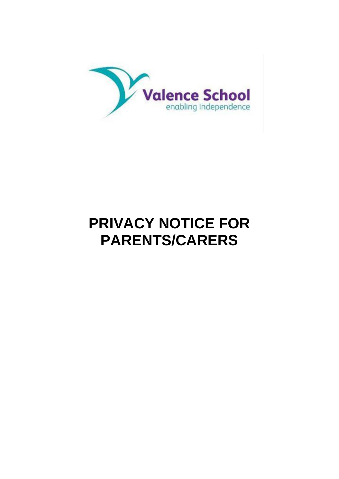

# **PRIVACY NOTICE FOR PARENTS/CARERS**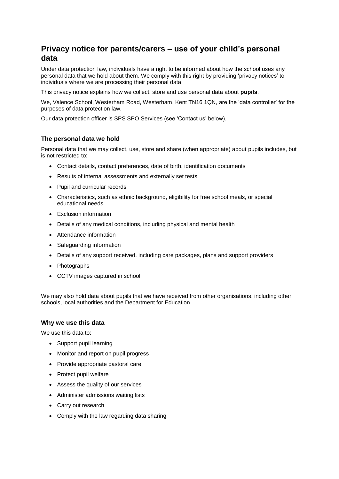# **Privacy notice for parents/carers – use of your child's personal data**

Under data protection law, individuals have a right to be informed about how the school uses any personal data that we hold about them. We comply with this right by providing 'privacy notices' to individuals where we are processing their personal data.

This privacy notice explains how we collect, store and use personal data about **pupils**.

We, Valence School, Westerham Road, Westerham, Kent TN16 1QN, are the 'data controller' for the purposes of data protection law.

Our data protection officer is SPS SPO Services (see 'Contact us' below).

# **The personal data we hold**

Personal data that we may collect, use, store and share (when appropriate) about pupils includes, but is not restricted to:

- Contact details, contact preferences, date of birth, identification documents
- Results of internal assessments and externally set tests
- Pupil and curricular records
- Characteristics, such as ethnic background, eligibility for free school meals, or special educational needs
- Exclusion information
- Details of any medical conditions, including physical and mental health
- Attendance information
- Safeguarding information
- Details of any support received, including care packages, plans and support providers
- Photographs
- CCTV images captured in school

We may also hold data about pupils that we have received from other organisations, including other schools, local authorities and the Department for Education.

# **Why we use this data**

We use this data to:

- Support pupil learning
- Monitor and report on pupil progress
- Provide appropriate pastoral care
- Protect pupil welfare
- Assess the quality of our services
- Administer admissions waiting lists
- Carry out research
- Comply with the law regarding data sharing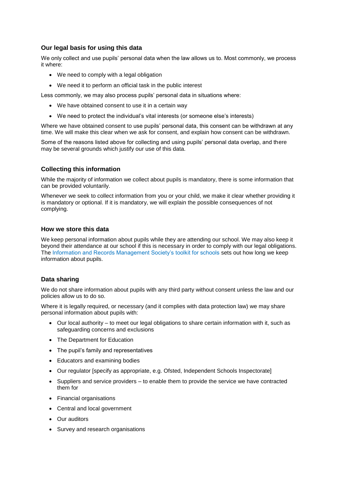# **Our legal basis for using this data**

We only collect and use pupils' personal data when the law allows us to. Most commonly, we process it where:

- We need to comply with a legal obligation
- We need it to perform an official task in the public interest

Less commonly, we may also process pupils' personal data in situations where:

- We have obtained consent to use it in a certain way
- We need to protect the individual's vital interests (or someone else's interests)

Where we have obtained consent to use pupils' personal data, this consent can be withdrawn at any time. We will make this clear when we ask for consent, and explain how consent can be withdrawn.

Some of the reasons listed above for collecting and using pupils' personal data overlap, and there may be several grounds which justify our use of this data.

# **Collecting this information**

While the majority of information we collect about pupils is mandatory, there is some information that can be provided voluntarily.

Whenever we seek to collect information from you or your child, we make it clear whether providing it is mandatory or optional. If it is mandatory, we will explain the possible consequences of not complying.

# **How we store this data**

We keep personal information about pupils while they are attending our school. We may also keep it beyond their attendance at our school if this is necessary in order to comply with our legal obligations. The Information and Records Management Society's toolkit for schools sets out how long we keep information about pupils.

# **Data sharing**

We do not share information about pupils with any third party without consent unless the law and our policies allow us to do so.

Where it is legally required, or necessary (and it complies with data protection law) we may share personal information about pupils with:

- Our local authority to meet our legal obligations to share certain information with it, such as safeguarding concerns and exclusions
- The Department for Education
- The pupil's family and representatives
- Educators and examining bodies
- Our regulator [specify as appropriate, e.g. Ofsted, Independent Schools Inspectorate]
- Suppliers and service providers to enable them to provide the service we have contracted them for
- Financial organisations
- Central and local government
- Our auditors
- Survey and research organisations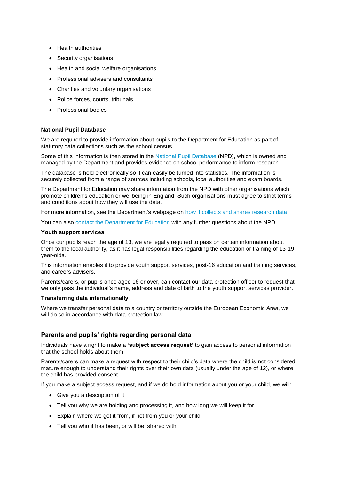- Health authorities
- Security organisations
- Health and social welfare organisations
- Professional advisers and consultants
- Charities and voluntary organisations
- Police forces, courts, tribunals
- Professional bodies

#### **National Pupil Database**

We are required to provide information about pupils to the Department for Education as part of statutory data collections such as the school census.

Some of this information is then stored in the [National Pupil Database](https://www.gov.uk/government/publications/national-pupil-database-user-guide-and-supporting-information) (NPD), which is owned and managed by the Department and provides evidence on school performance to inform research.

The database is held electronically so it can easily be turned into statistics. The information is securely collected from a range of sources including schools, local authorities and exam boards.

The Department for Education may share information from the NPD with other organisations which promote children's education or wellbeing in England. Such organisations must agree to strict terms and conditions about how they will use the data.

For more information, see the Department's webpage on [how it collects and shares research data.](https://www.gov.uk/data-protection-how-we-collect-and-share-research-data)

You can also [contact the Department for Education](https://www.gov.uk/contact-dfe) with any further questions about the NPD.

#### **Youth support services**

Once our pupils reach the age of 13, we are legally required to pass on certain information about them to the local authority, as it has legal responsibilities regarding the education or training of 13-19 year-olds.

This information enables it to provide youth support services, post-16 education and training services, and careers advisers.

Parents/carers, or pupils once aged 16 or over, can contact our data protection officer to request that we only pass the individual's name, address and date of birth to the youth support services provider.

#### **Transferring data internationally**

Where we transfer personal data to a country or territory outside the European Economic Area, we will do so in accordance with data protection law.

# **Parents and pupils' rights regarding personal data**

Individuals have a right to make a **'subject access request'** to gain access to personal information that the school holds about them.

Parents/carers can make a request with respect to their child's data where the child is not considered mature enough to understand their rights over their own data (usually under the age of 12), or where the child has provided consent.

If you make a subject access request, and if we do hold information about you or your child, we will:

- Give you a description of it
- Tell you why we are holding and processing it, and how long we will keep it for
- Explain where we got it from, if not from you or your child
- Tell you who it has been, or will be, shared with